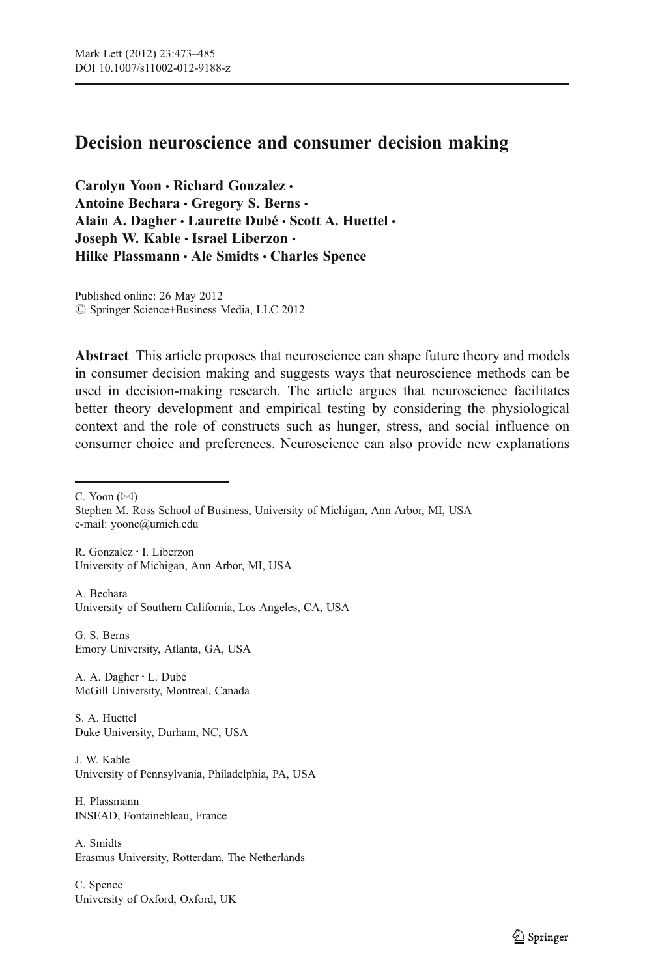# Decision neuroscience and consumer decision making

Carolyn Yoon . Richard Gonzalez . Antoine Bechara . Gregory S. Berns . Alain A. Dagher · Laurette Dubé · Scott A. Huettel · Joseph W. Kable · Israel Liberzon · Hilke Plassmann · Ale Smidts · Charles Spence

Published online: 26 May 2012  $\oslash$  Springer Science+Business Media, LLC 2012

Abstract This article proposes that neuroscience can shape future theory and models in consumer decision making and suggests ways that neuroscience methods can be used in decision-making research. The article argues that neuroscience facilitates better theory development and empirical testing by considering the physiological context and the role of constructs such as hunger, stress, and social influence on consumer choice and preferences. Neuroscience can also provide new explanations

C. Yoon  $(\boxtimes)$ 

R. Gonzalez : I. Liberzon University of Michigan, Ann Arbor, MI, USA

A. Bechara University of Southern California, Los Angeles, CA, USA

G. S. Berns Emory University, Atlanta, GA, USA

A. A. Dagher : L. Dubé McGill University, Montreal, Canada

S. A. Huettel Duke University, Durham, NC, USA

J. W. Kable University of Pennsylvania, Philadelphia, PA, USA

H. Plassmann INSEAD, Fontainebleau, France

A. Smidts Erasmus University, Rotterdam, The Netherlands

C. Spence University of Oxford, Oxford, UK

Stephen M. Ross School of Business, University of Michigan, Ann Arbor, MI, USA e-mail: yoonc@umich.edu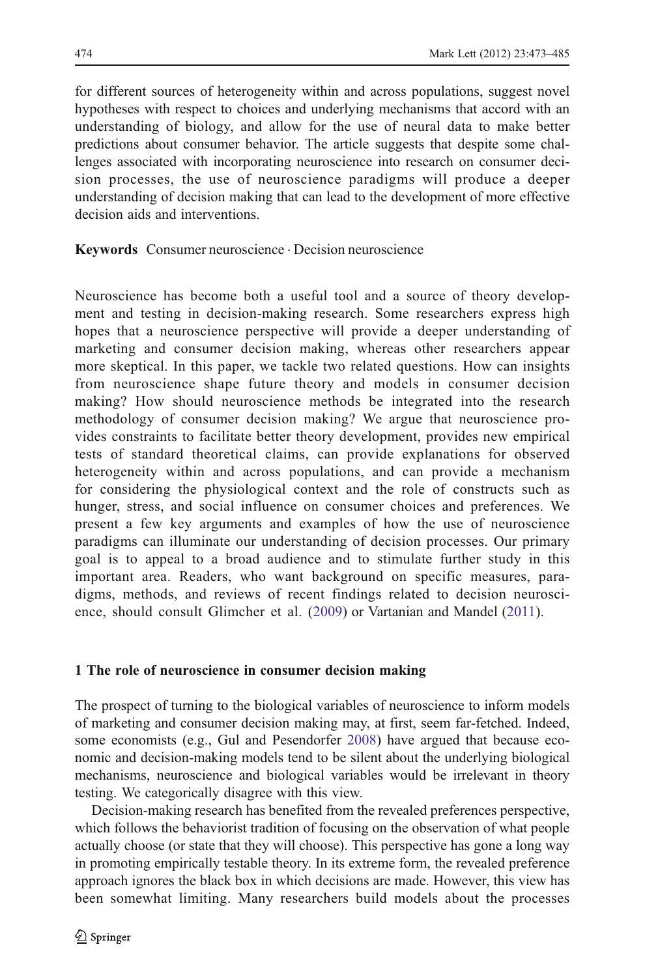for different sources of heterogeneity within and across populations, suggest novel hypotheses with respect to choices and underlying mechanisms that accord with an understanding of biology, and allow for the use of neural data to make better predictions about consumer behavior. The article suggests that despite some challenges associated with incorporating neuroscience into research on consumer decision processes, the use of neuroscience paradigms will produce a deeper understanding of decision making that can lead to the development of more effective decision aids and interventions.

Keywords Consumer neuroscience . Decision neuroscience

Neuroscience has become both a useful tool and a source of theory development and testing in decision-making research. Some researchers express high hopes that a neuroscience perspective will provide a deeper understanding of marketing and consumer decision making, whereas other researchers appear more skeptical. In this paper, we tackle two related questions. How can insights from neuroscience shape future theory and models in consumer decision making? How should neuroscience methods be integrated into the research methodology of consumer decision making? We argue that neuroscience provides constraints to facilitate better theory development, provides new empirical tests of standard theoretical claims, can provide explanations for observed heterogeneity within and across populations, and can provide a mechanism for considering the physiological context and the role of constructs such as hunger, stress, and social influence on consumer choices and preferences. We present a few key arguments and examples of how the use of neuroscience paradigms can illuminate our understanding of decision processes. Our primary goal is to appeal to a broad audience and to stimulate further study in this important area. Readers, who want background on specific measures, paradigms, methods, and reviews of recent findings related to decision neuroscience, should consult Glimcher et al. [\(2009](#page-11-0)) or Vartanian and Mandel [\(2011](#page-12-0)).

# 1 The role of neuroscience in consumer decision making

The prospect of turning to the biological variables of neuroscience to inform models of marketing and consumer decision making may, at first, seem far-fetched. Indeed, some economists (e.g., Gul and Pesendorfer [2008\)](#page-11-0) have argued that because economic and decision-making models tend to be silent about the underlying biological mechanisms, neuroscience and biological variables would be irrelevant in theory testing. We categorically disagree with this view.

Decision-making research has benefited from the revealed preferences perspective, which follows the behaviorist tradition of focusing on the observation of what people actually choose (or state that they will choose). This perspective has gone a long way in promoting empirically testable theory. In its extreme form, the revealed preference approach ignores the black box in which decisions are made. However, this view has been somewhat limiting. Many researchers build models about the processes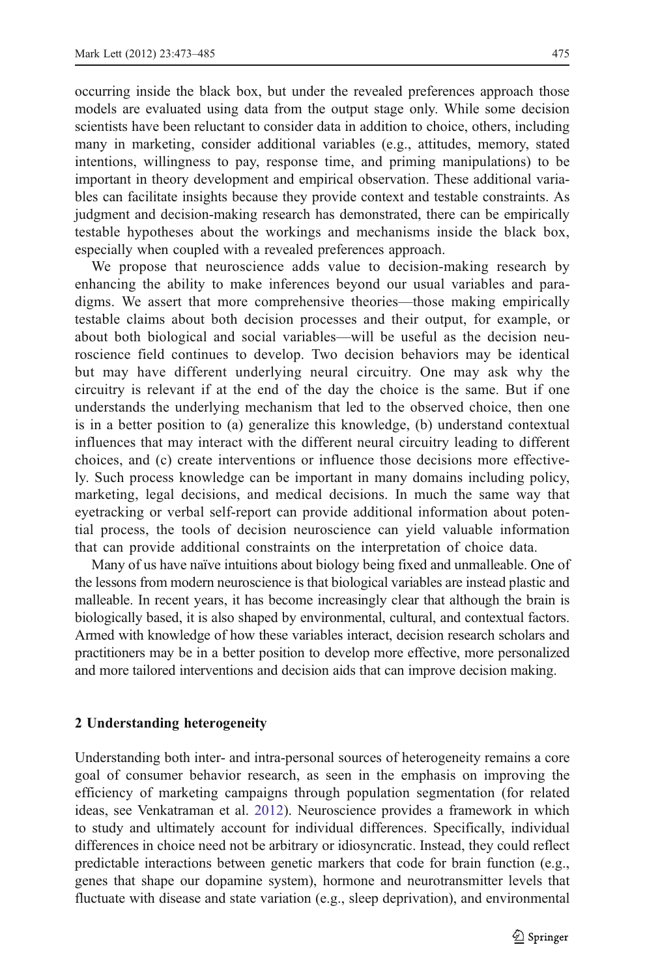occurring inside the black box, but under the revealed preferences approach those models are evaluated using data from the output stage only. While some decision scientists have been reluctant to consider data in addition to choice, others, including many in marketing, consider additional variables (e.g., attitudes, memory, stated intentions, willingness to pay, response time, and priming manipulations) to be important in theory development and empirical observation. These additional variables can facilitate insights because they provide context and testable constraints. As judgment and decision-making research has demonstrated, there can be empirically testable hypotheses about the workings and mechanisms inside the black box, especially when coupled with a revealed preferences approach.

We propose that neuroscience adds value to decision-making research by enhancing the ability to make inferences beyond our usual variables and paradigms. We assert that more comprehensive theories—those making empirically testable claims about both decision processes and their output, for example, or about both biological and social variables—will be useful as the decision neuroscience field continues to develop. Two decision behaviors may be identical but may have different underlying neural circuitry. One may ask why the circuitry is relevant if at the end of the day the choice is the same. But if one understands the underlying mechanism that led to the observed choice, then one is in a better position to (a) generalize this knowledge, (b) understand contextual influences that may interact with the different neural circuitry leading to different choices, and (c) create interventions or influence those decisions more effectively. Such process knowledge can be important in many domains including policy, marketing, legal decisions, and medical decisions. In much the same way that eyetracking or verbal self-report can provide additional information about potential process, the tools of decision neuroscience can yield valuable information that can provide additional constraints on the interpretation of choice data.

Many of us have naïve intuitions about biology being fixed and unmalleable. One of the lessons from modern neuroscience is that biological variables are instead plastic and malleable. In recent years, it has become increasingly clear that although the brain is biologically based, it is also shaped by environmental, cultural, and contextual factors. Armed with knowledge of how these variables interact, decision research scholars and practitioners may be in a better position to develop more effective, more personalized and more tailored interventions and decision aids that can improve decision making.

#### 2 Understanding heterogeneity

Understanding both inter- and intra-personal sources of heterogeneity remains a core goal of consumer behavior research, as seen in the emphasis on improving the efficiency of marketing campaigns through population segmentation (for related ideas, see Venkatraman et al. [2012](#page-12-0)). Neuroscience provides a framework in which to study and ultimately account for individual differences. Specifically, individual differences in choice need not be arbitrary or idiosyncratic. Instead, they could reflect predictable interactions between genetic markers that code for brain function (e.g., genes that shape our dopamine system), hormone and neurotransmitter levels that fluctuate with disease and state variation (e.g., sleep deprivation), and environmental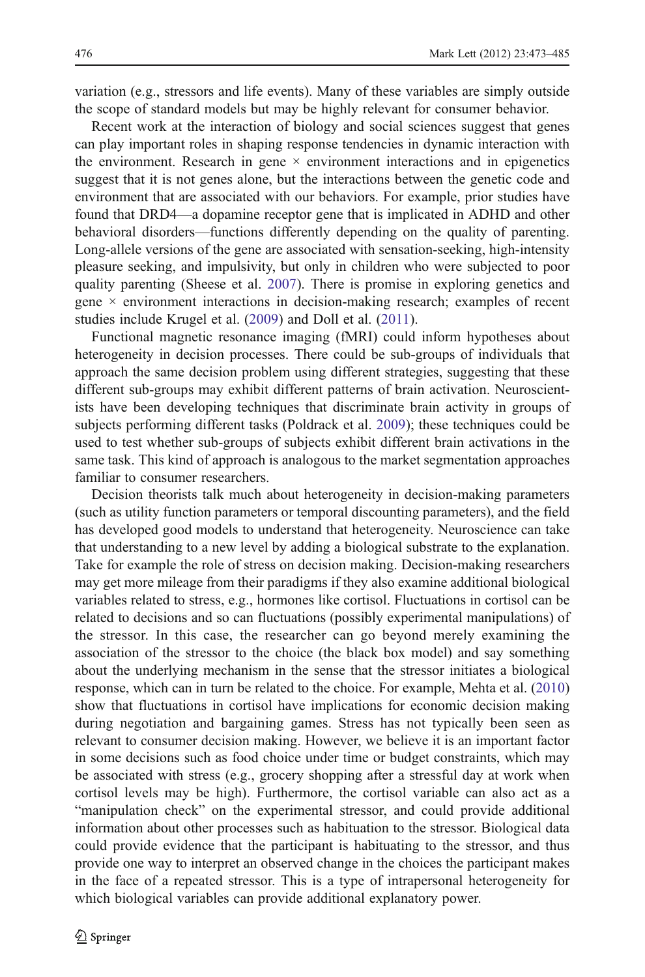variation (e.g., stressors and life events). Many of these variables are simply outside the scope of standard models but may be highly relevant for consumer behavior.

Recent work at the interaction of biology and social sciences suggest that genes can play important roles in shaping response tendencies in dynamic interaction with the environment. Research in gene  $\times$  environment interactions and in epigenetics suggest that it is not genes alone, but the interactions between the genetic code and environment that are associated with our behaviors. For example, prior studies have found that DRD4—a dopamine receptor gene that is implicated in ADHD and other behavioral disorders—functions differently depending on the quality of parenting. Long-allele versions of the gene are associated with sensation-seeking, high-intensity pleasure seeking, and impulsivity, but only in children who were subjected to poor quality parenting (Sheese et al. [2007](#page-12-0)). There is promise in exploring genetics and gene  $\times$  environment interactions in decision-making research; examples of recent studies include Krugel et al. ([2009\)](#page-12-0) and Doll et al. ([2011](#page-11-0)).

Functional magnetic resonance imaging (fMRI) could inform hypotheses about heterogeneity in decision processes. There could be sub-groups of individuals that approach the same decision problem using different strategies, suggesting that these different sub-groups may exhibit different patterns of brain activation. Neuroscientists have been developing techniques that discriminate brain activity in groups of subjects performing different tasks (Poldrack et al. [2009](#page-12-0)); these techniques could be used to test whether sub-groups of subjects exhibit different brain activations in the same task. This kind of approach is analogous to the market segmentation approaches familiar to consumer researchers.

Decision theorists talk much about heterogeneity in decision-making parameters (such as utility function parameters or temporal discounting parameters), and the field has developed good models to understand that heterogeneity. Neuroscience can take that understanding to a new level by adding a biological substrate to the explanation. Take for example the role of stress on decision making. Decision-making researchers may get more mileage from their paradigms if they also examine additional biological variables related to stress, e.g., hormones like cortisol. Fluctuations in cortisol can be related to decisions and so can fluctuations (possibly experimental manipulations) of the stressor. In this case, the researcher can go beyond merely examining the association of the stressor to the choice (the black box model) and say something about the underlying mechanism in the sense that the stressor initiates a biological response, which can in turn be related to the choice. For example, Mehta et al. [\(2010](#page-12-0)) show that fluctuations in cortisol have implications for economic decision making during negotiation and bargaining games. Stress has not typically been seen as relevant to consumer decision making. However, we believe it is an important factor in some decisions such as food choice under time or budget constraints, which may be associated with stress (e.g., grocery shopping after a stressful day at work when cortisol levels may be high). Furthermore, the cortisol variable can also act as a "manipulation check" on the experimental stressor, and could provide additional information about other processes such as habituation to the stressor. Biological data could provide evidence that the participant is habituating to the stressor, and thus provide one way to interpret an observed change in the choices the participant makes in the face of a repeated stressor. This is a type of intrapersonal heterogeneity for which biological variables can provide additional explanatory power.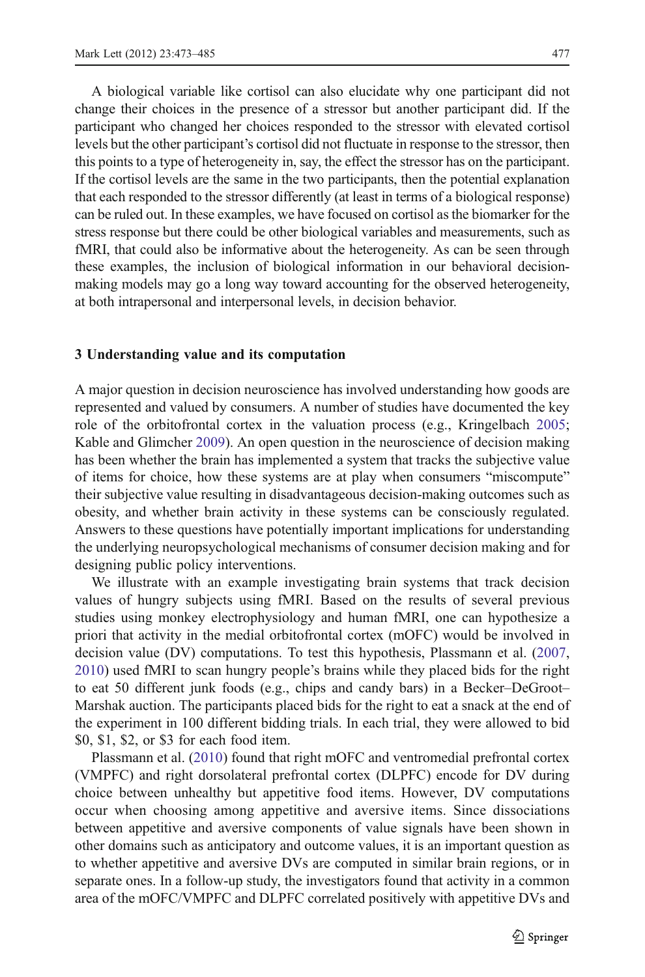A biological variable like cortisol can also elucidate why one participant did not

change their choices in the presence of a stressor but another participant did. If the participant who changed her choices responded to the stressor with elevated cortisol levels but the other participant's cortisol did not fluctuate in response to the stressor, then this points to a type of heterogeneity in, say, the effect the stressor has on the participant. If the cortisol levels are the same in the two participants, then the potential explanation that each responded to the stressor differently (at least in terms of a biological response) can be ruled out. In these examples, we have focused on cortisol as the biomarker for the stress response but there could be other biological variables and measurements, such as fMRI, that could also be informative about the heterogeneity. As can be seen through these examples, the inclusion of biological information in our behavioral decisionmaking models may go a long way toward accounting for the observed heterogeneity, at both intrapersonal and interpersonal levels, in decision behavior.

## 3 Understanding value and its computation

A major question in decision neuroscience has involved understanding how goods are represented and valued by consumers. A number of studies have documented the key role of the orbitofrontal cortex in the valuation process (e.g., Kringelbach [2005;](#page-12-0) Kable and Glimcher [2009](#page-12-0)). An open question in the neuroscience of decision making has been whether the brain has implemented a system that tracks the subjective value of items for choice, how these systems are at play when consumers "miscompute" their subjective value resulting in disadvantageous decision-making outcomes such as obesity, and whether brain activity in these systems can be consciously regulated. Answers to these questions have potentially important implications for understanding the underlying neuropsychological mechanisms of consumer decision making and for designing public policy interventions.

We illustrate with an example investigating brain systems that track decision values of hungry subjects using fMRI. Based on the results of several previous studies using monkey electrophysiology and human fMRI, one can hypothesize a priori that activity in the medial orbitofrontal cortex (mOFC) would be involved in decision value (DV) computations. To test this hypothesis, Plassmann et al. ([2007,](#page-12-0) [2010\)](#page-12-0) used fMRI to scan hungry people's brains while they placed bids for the right to eat 50 different junk foods (e.g., chips and candy bars) in a Becker–DeGroot– Marshak auction. The participants placed bids for the right to eat a snack at the end of the experiment in 100 different bidding trials. In each trial, they were allowed to bid \$0, \$1, \$2, or \$3 for each food item.

Plassmann et al. ([2010\)](#page-12-0) found that right mOFC and ventromedial prefrontal cortex (VMPFC) and right dorsolateral prefrontal cortex (DLPFC) encode for DV during choice between unhealthy but appetitive food items. However, DV computations occur when choosing among appetitive and aversive items. Since dissociations between appetitive and aversive components of value signals have been shown in other domains such as anticipatory and outcome values, it is an important question as to whether appetitive and aversive DVs are computed in similar brain regions, or in separate ones. In a follow-up study, the investigators found that activity in a common area of the mOFC/VMPFC and DLPFC correlated positively with appetitive DVs and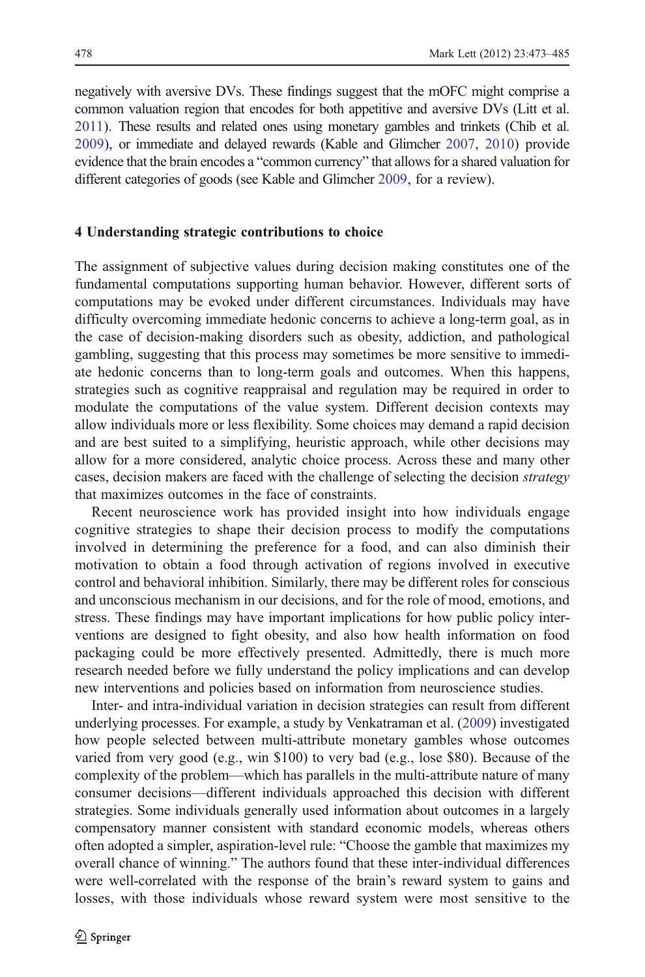negatively with aversive DVs. These findings suggest that the mOFC might comprise a common valuation region that encodes for both appetitive and aversive DVs (Litt et al. [2011\)](#page-12-0). These results and related ones using monetary gambles and trinkets (Chib et al. [2009\)](#page-11-0), or immediate and delayed rewards (Kable and Glimcher [2007,](#page-12-0) [2010\)](#page-12-0) provide evidence that the brain encodes a "common currency" that allows for a shared valuation for different categories of goods (see Kable and Glimcher [2009,](#page-12-0) for a review).

# 4 Understanding strategic contributions to choice

The assignment of subjective values during decision making constitutes one of the fundamental computations supporting human behavior. However, different sorts of computations may be evoked under different circumstances. Individuals may have difficulty overcoming immediate hedonic concerns to achieve a long-term goal, as in the case of decision-making disorders such as obesity, addiction, and pathological gambling, suggesting that this process may sometimes be more sensitive to immediate hedonic concerns than to long-term goals and outcomes. When this happens, strategies such as cognitive reappraisal and regulation may be required in order to modulate the computations of the value system. Different decision contexts may allow individuals more or less flexibility. Some choices may demand a rapid decision and are best suited to a simplifying, heuristic approach, while other decisions may allow for a more considered, analytic choice process. Across these and many other cases, decision makers are faced with the challenge of selecting the decision strategy that maximizes outcomes in the face of constraints.

Recent neuroscience work has provided insight into how individuals engage cognitive strategies to shape their decision process to modify the computations involved in determining the preference for a food, and can also diminish their motivation to obtain a food through activation of regions involved in executive control and behavioral inhibition. Similarly, there may be different roles for conscious and unconscious mechanism in our decisions, and for the role of mood, emotions, and stress. These findings may have important implications for how public policy interventions are designed to fight obesity, and also how health information on food packaging could be more effectively presented. Admittedly, there is much more research needed before we fully understand the policy implications and can develop new interventions and policies based on information from neuroscience studies.

Inter- and intra-individual variation in decision strategies can result from different underlying processes. For example, a study by Venkatraman et al. [\(2009](#page-12-0)) investigated how people selected between multi-attribute monetary gambles whose outcomes varied from very good (e.g., win \$100) to very bad (e.g., lose \$80). Because of the complexity of the problem—which has parallels in the multi-attribute nature of many consumer decisions—different individuals approached this decision with different strategies. Some individuals generally used information about outcomes in a largely compensatory manner consistent with standard economic models, whereas others often adopted a simpler, aspiration-level rule: "Choose the gamble that maximizes my overall chance of winning." The authors found that these inter-individual differences were well-correlated with the response of the brain's reward system to gains and losses, with those individuals whose reward system were most sensitive to the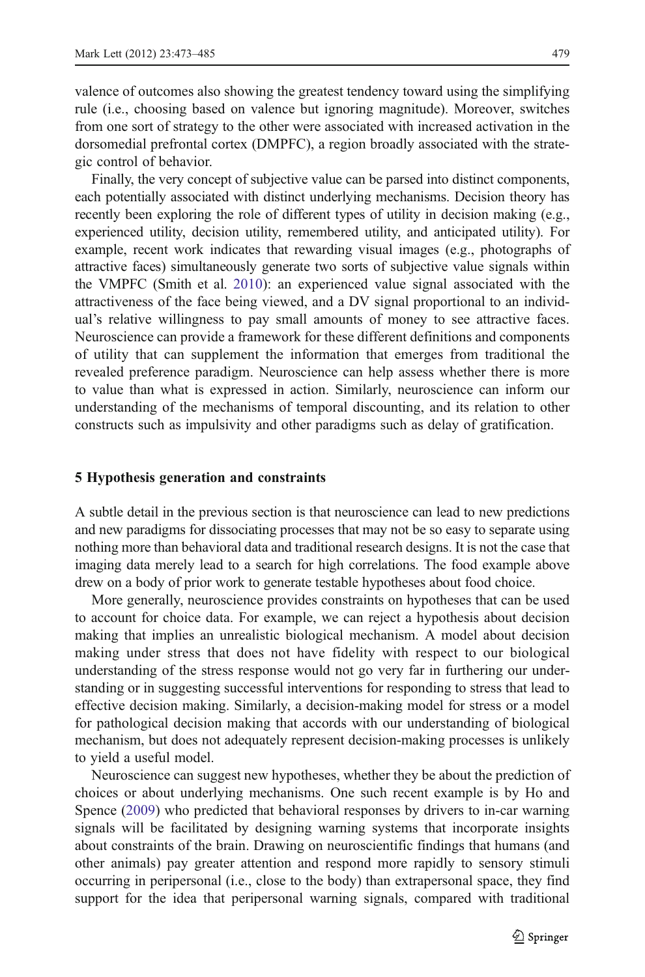valence of outcomes also showing the greatest tendency toward using the simplifying rule (i.e., choosing based on valence but ignoring magnitude). Moreover, switches from one sort of strategy to the other were associated with increased activation in the dorsomedial prefrontal cortex (DMPFC), a region broadly associated with the strategic control of behavior.

Finally, the very concept of subjective value can be parsed into distinct components, each potentially associated with distinct underlying mechanisms. Decision theory has recently been exploring the role of different types of utility in decision making (e.g., experienced utility, decision utility, remembered utility, and anticipated utility). For example, recent work indicates that rewarding visual images (e.g., photographs of attractive faces) simultaneously generate two sorts of subjective value signals within the VMPFC (Smith et al. [2010](#page-12-0)): an experienced value signal associated with the attractiveness of the face being viewed, and a DV signal proportional to an individual's relative willingness to pay small amounts of money to see attractive faces. Neuroscience can provide a framework for these different definitions and components of utility that can supplement the information that emerges from traditional the revealed preference paradigm. Neuroscience can help assess whether there is more to value than what is expressed in action. Similarly, neuroscience can inform our understanding of the mechanisms of temporal discounting, and its relation to other constructs such as impulsivity and other paradigms such as delay of gratification.

#### 5 Hypothesis generation and constraints

A subtle detail in the previous section is that neuroscience can lead to new predictions and new paradigms for dissociating processes that may not be so easy to separate using nothing more than behavioral data and traditional research designs. It is not the case that imaging data merely lead to a search for high correlations. The food example above drew on a body of prior work to generate testable hypotheses about food choice.

More generally, neuroscience provides constraints on hypotheses that can be used to account for choice data. For example, we can reject a hypothesis about decision making that implies an unrealistic biological mechanism. A model about decision making under stress that does not have fidelity with respect to our biological understanding of the stress response would not go very far in furthering our understanding or in suggesting successful interventions for responding to stress that lead to effective decision making. Similarly, a decision-making model for stress or a model for pathological decision making that accords with our understanding of biological mechanism, but does not adequately represent decision-making processes is unlikely to yield a useful model.

Neuroscience can suggest new hypotheses, whether they be about the prediction of choices or about underlying mechanisms. One such recent example is by Ho and Spence ([2009\)](#page-12-0) who predicted that behavioral responses by drivers to in-car warning signals will be facilitated by designing warning systems that incorporate insights about constraints of the brain. Drawing on neuroscientific findings that humans (and other animals) pay greater attention and respond more rapidly to sensory stimuli occurring in peripersonal (i.e., close to the body) than extrapersonal space, they find support for the idea that peripersonal warning signals, compared with traditional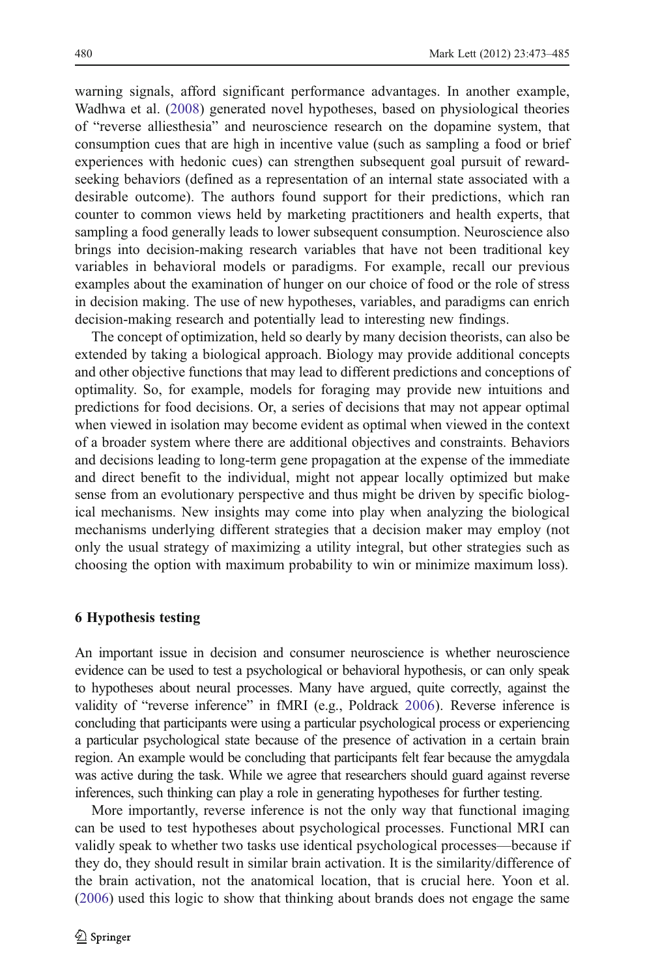warning signals, afford significant performance advantages. In another example, Wadhwa et al. [\(2008](#page-12-0)) generated novel hypotheses, based on physiological theories of "reverse alliesthesia" and neuroscience research on the dopamine system, that consumption cues that are high in incentive value (such as sampling a food or brief experiences with hedonic cues) can strengthen subsequent goal pursuit of rewardseeking behaviors (defined as a representation of an internal state associated with a desirable outcome). The authors found support for their predictions, which ran counter to common views held by marketing practitioners and health experts, that sampling a food generally leads to lower subsequent consumption. Neuroscience also brings into decision-making research variables that have not been traditional key variables in behavioral models or paradigms. For example, recall our previous examples about the examination of hunger on our choice of food or the role of stress in decision making. The use of new hypotheses, variables, and paradigms can enrich decision-making research and potentially lead to interesting new findings.

The concept of optimization, held so dearly by many decision theorists, can also be extended by taking a biological approach. Biology may provide additional concepts and other objective functions that may lead to different predictions and conceptions of optimality. So, for example, models for foraging may provide new intuitions and predictions for food decisions. Or, a series of decisions that may not appear optimal when viewed in isolation may become evident as optimal when viewed in the context of a broader system where there are additional objectives and constraints. Behaviors and decisions leading to long-term gene propagation at the expense of the immediate and direct benefit to the individual, might not appear locally optimized but make sense from an evolutionary perspective and thus might be driven by specific biological mechanisms. New insights may come into play when analyzing the biological mechanisms underlying different strategies that a decision maker may employ (not only the usual strategy of maximizing a utility integral, but other strategies such as choosing the option with maximum probability to win or minimize maximum loss).

#### 6 Hypothesis testing

An important issue in decision and consumer neuroscience is whether neuroscience evidence can be used to test a psychological or behavioral hypothesis, or can only speak to hypotheses about neural processes. Many have argued, quite correctly, against the validity of "reverse inference" in fMRI (e.g., Poldrack [2006](#page-12-0)). Reverse inference is concluding that participants were using a particular psychological process or experiencing a particular psychological state because of the presence of activation in a certain brain region. An example would be concluding that participants felt fear because the amygdala was active during the task. While we agree that researchers should guard against reverse inferences, such thinking can play a role in generating hypotheses for further testing.

More importantly, reverse inference is not the only way that functional imaging can be used to test hypotheses about psychological processes. Functional MRI can validly speak to whether two tasks use identical psychological processes—because if they do, they should result in similar brain activation. It is the similarity/difference of the brain activation, not the anatomical location, that is crucial here. Yoon et al. [\(2006](#page-12-0)) used this logic to show that thinking about brands does not engage the same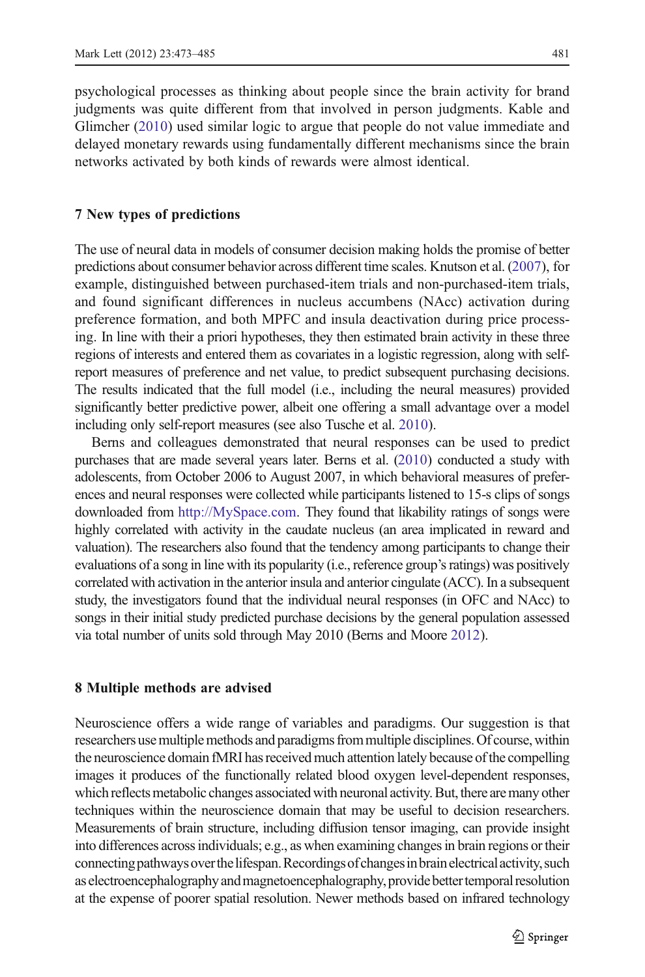judgments was quite different from that involved in person judgments. Kable and Glimcher [\(2010](#page-12-0)) used similar logic to argue that people do not value immediate and delayed monetary rewards using fundamentally different mechanisms since the brain networks activated by both kinds of rewards were almost identical.

# 7 New types of predictions

The use of neural data in models of consumer decision making holds the promise of better predictions about consumer behavior across different time scales. Knutson et al. [\(2007\)](#page-12-0), for example, distinguished between purchased-item trials and non-purchased-item trials, and found significant differences in nucleus accumbens (NAcc) activation during preference formation, and both MPFC and insula deactivation during price processing. In line with their a priori hypotheses, they then estimated brain activity in these three regions of interests and entered them as covariates in a logistic regression, along with selfreport measures of preference and net value, to predict subsequent purchasing decisions. The results indicated that the full model (i.e., including the neural measures) provided significantly better predictive power, albeit one offering a small advantage over a model including only self-report measures (see also Tusche et al. [2010\)](#page-12-0).

Berns and colleagues demonstrated that neural responses can be used to predict purchases that are made several years later. Berns et al. [\(2010](#page-11-0)) conducted a study with adolescents, from October 2006 to August 2007, in which behavioral measures of preferences and neural responses were collected while participants listened to 15-s clips of songs downloaded from [http://MySpace.com.](http://MySpace.com) They found that likability ratings of songs were highly correlated with activity in the caudate nucleus (an area implicated in reward and valuation). The researchers also found that the tendency among participants to change their evaluations of a song in line with its popularity (i.e., reference group's ratings) was positively correlated with activation in the anterior insula and anterior cingulate (ACC). In a subsequent study, the investigators found that the individual neural responses (in OFC and NAcc) to songs in their initial study predicted purchase decisions by the general population assessed via total number of units sold through May 2010 (Berns and Moore [2012](#page-11-0)).

# 8 Multiple methods are advised

Neuroscience offers a wide range of variables and paradigms. Our suggestion is that researchers use multiple methods and paradigms from multiple disciplines. Of course, within the neuroscience domain fMRI has received much attention lately because of the compelling images it produces of the functionally related blood oxygen level-dependent responses, which reflects metabolic changes associated with neuronal activity. But, there are many other techniques within the neuroscience domain that may be useful to decision researchers. Measurements of brain structure, including diffusion tensor imaging, can provide insight into differences across individuals; e.g., as when examining changes in brain regions or their connecting pathways over the lifespan. Recordings of changes in brain electrical activity, such as electroencephalographyandmagnetoencephalography, provide bettertemporal resolution at the expense of poorer spatial resolution. Newer methods based on infrared technology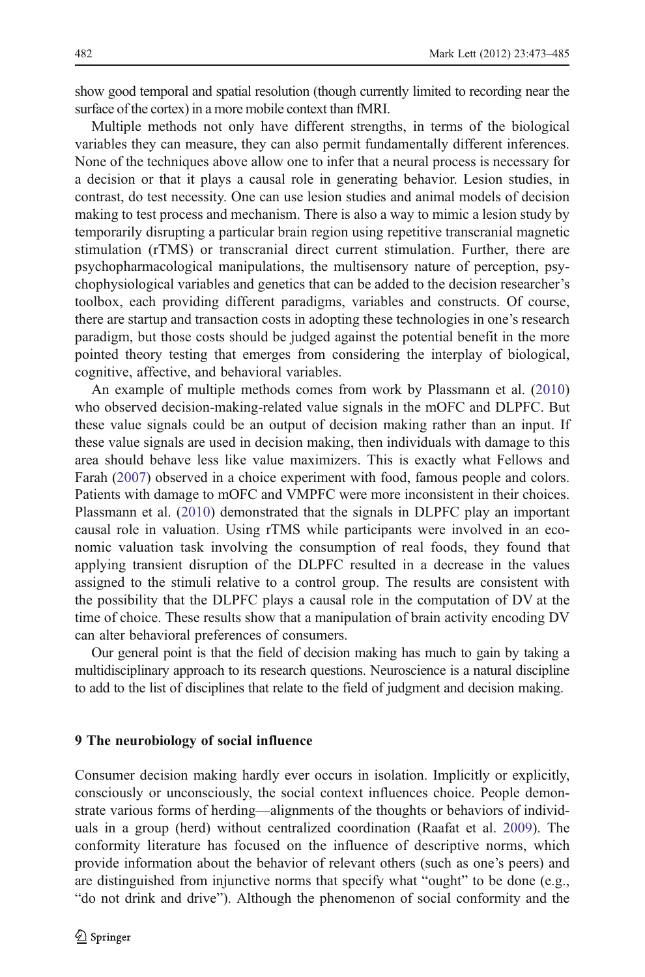show good temporal and spatial resolution (though currently limited to recording near the surface of the cortex) in a more mobile context than fMRI.

Multiple methods not only have different strengths, in terms of the biological variables they can measure, they can also permit fundamentally different inferences. None of the techniques above allow one to infer that a neural process is necessary for a decision or that it plays a causal role in generating behavior. Lesion studies, in contrast, do test necessity. One can use lesion studies and animal models of decision making to test process and mechanism. There is also a way to mimic a lesion study by temporarily disrupting a particular brain region using repetitive transcranial magnetic stimulation (rTMS) or transcranial direct current stimulation. Further, there are psychopharmacological manipulations, the multisensory nature of perception, psychophysiological variables and genetics that can be added to the decision researcher's toolbox, each providing different paradigms, variables and constructs. Of course, there are startup and transaction costs in adopting these technologies in one's research paradigm, but those costs should be judged against the potential benefit in the more pointed theory testing that emerges from considering the interplay of biological, cognitive, affective, and behavioral variables.

An example of multiple methods comes from work by Plassmann et al. [\(2010](#page-12-0)) who observed decision-making-related value signals in the mOFC and DLPFC. But these value signals could be an output of decision making rather than an input. If these value signals are used in decision making, then individuals with damage to this area should behave less like value maximizers. This is exactly what Fellows and Farah ([2007\)](#page-11-0) observed in a choice experiment with food, famous people and colors. Patients with damage to mOFC and VMPFC were more inconsistent in their choices. Plassmann et al. [\(2010](#page-12-0)) demonstrated that the signals in DLPFC play an important causal role in valuation. Using rTMS while participants were involved in an economic valuation task involving the consumption of real foods, they found that applying transient disruption of the DLPFC resulted in a decrease in the values assigned to the stimuli relative to a control group. The results are consistent with the possibility that the DLPFC plays a causal role in the computation of DV at the time of choice. These results show that a manipulation of brain activity encoding DV can alter behavioral preferences of consumers.

Our general point is that the field of decision making has much to gain by taking a multidisciplinary approach to its research questions. Neuroscience is a natural discipline to add to the list of disciplines that relate to the field of judgment and decision making.

## 9 The neurobiology of social influence

Consumer decision making hardly ever occurs in isolation. Implicitly or explicitly, consciously or unconsciously, the social context influences choice. People demonstrate various forms of herding—alignments of the thoughts or behaviors of individuals in a group (herd) without centralized coordination (Raafat et al. [2009\)](#page-12-0). The conformity literature has focused on the influence of descriptive norms, which provide information about the behavior of relevant others (such as one's peers) and are distinguished from injunctive norms that specify what "ought" to be done (e.g., "do not drink and drive"). Although the phenomenon of social conformity and the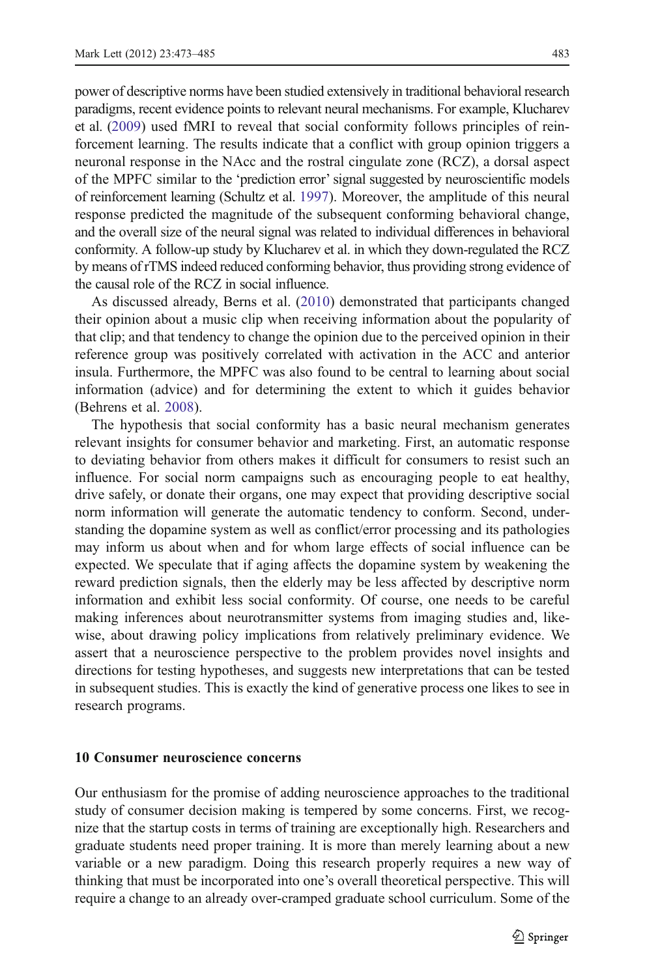power of descriptive norms have been studied extensively in traditional behavioral research paradigms, recent evidence points to relevant neural mechanisms. For example, Klucharev et al. [\(2009](#page-12-0)) used fMRI to reveal that social conformity follows principles of reinforcement learning. The results indicate that a conflict with group opinion triggers a neuronal response in the NAcc and the rostral cingulate zone (RCZ), a dorsal aspect of the MPFC similar to the 'prediction error'signal suggested by neuroscientific models of reinforcement learning (Schultz et al. [1997](#page-12-0)). Moreover, the amplitude of this neural response predicted the magnitude of the subsequent conforming behavioral change, and the overall size of the neural signal was related to individual differences in behavioral conformity. A follow-up study by Klucharev et al. in which they down-regulated the RCZ by means of rTMS indeed reduced conforming behavior, thus providing strong evidence of the causal role of the RCZ in social influence.

As discussed already, Berns et al. ([2010\)](#page-11-0) demonstrated that participants changed their opinion about a music clip when receiving information about the popularity of that clip; and that tendency to change the opinion due to the perceived opinion in their reference group was positively correlated with activation in the ACC and anterior insula. Furthermore, the MPFC was also found to be central to learning about social information (advice) and for determining the extent to which it guides behavior (Behrens et al. [2008](#page-11-0)).

The hypothesis that social conformity has a basic neural mechanism generates relevant insights for consumer behavior and marketing. First, an automatic response to deviating behavior from others makes it difficult for consumers to resist such an influence. For social norm campaigns such as encouraging people to eat healthy, drive safely, or donate their organs, one may expect that providing descriptive social norm information will generate the automatic tendency to conform. Second, understanding the dopamine system as well as conflict/error processing and its pathologies may inform us about when and for whom large effects of social influence can be expected. We speculate that if aging affects the dopamine system by weakening the reward prediction signals, then the elderly may be less affected by descriptive norm information and exhibit less social conformity. Of course, one needs to be careful making inferences about neurotransmitter systems from imaging studies and, likewise, about drawing policy implications from relatively preliminary evidence. We assert that a neuroscience perspective to the problem provides novel insights and directions for testing hypotheses, and suggests new interpretations that can be tested in subsequent studies. This is exactly the kind of generative process one likes to see in research programs.

#### 10 Consumer neuroscience concerns

Our enthusiasm for the promise of adding neuroscience approaches to the traditional study of consumer decision making is tempered by some concerns. First, we recognize that the startup costs in terms of training are exceptionally high. Researchers and graduate students need proper training. It is more than merely learning about a new variable or a new paradigm. Doing this research properly requires a new way of thinking that must be incorporated into one's overall theoretical perspective. This will require a change to an already over-cramped graduate school curriculum. Some of the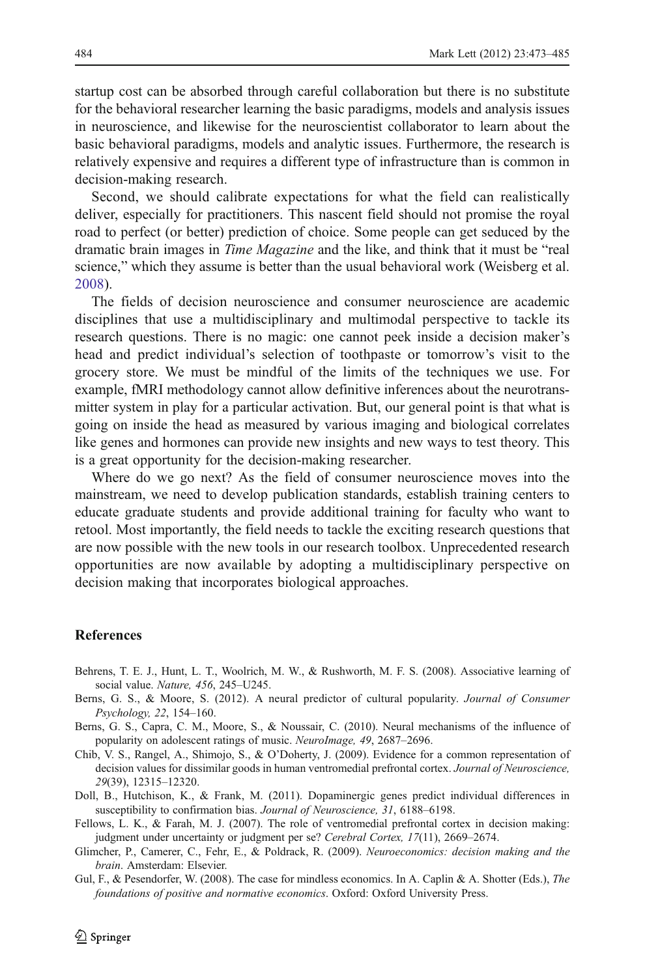<span id="page-11-0"></span>startup cost can be absorbed through careful collaboration but there is no substitute for the behavioral researcher learning the basic paradigms, models and analysis issues in neuroscience, and likewise for the neuroscientist collaborator to learn about the basic behavioral paradigms, models and analytic issues. Furthermore, the research is relatively expensive and requires a different type of infrastructure than is common in decision-making research.

Second, we should calibrate expectations for what the field can realistically deliver, especially for practitioners. This nascent field should not promise the royal road to perfect (or better) prediction of choice. Some people can get seduced by the dramatic brain images in Time Magazine and the like, and think that it must be "real science," which they assume is better than the usual behavioral work (Weisberg et al. [2008\)](#page-12-0).

The fields of decision neuroscience and consumer neuroscience are academic disciplines that use a multidisciplinary and multimodal perspective to tackle its research questions. There is no magic: one cannot peek inside a decision maker's head and predict individual's selection of toothpaste or tomorrow's visit to the grocery store. We must be mindful of the limits of the techniques we use. For example, fMRI methodology cannot allow definitive inferences about the neurotransmitter system in play for a particular activation. But, our general point is that what is going on inside the head as measured by various imaging and biological correlates like genes and hormones can provide new insights and new ways to test theory. This is a great opportunity for the decision-making researcher.

Where do we go next? As the field of consumer neuroscience moves into the mainstream, we need to develop publication standards, establish training centers to educate graduate students and provide additional training for faculty who want to retool. Most importantly, the field needs to tackle the exciting research questions that are now possible with the new tools in our research toolbox. Unprecedented research opportunities are now available by adopting a multidisciplinary perspective on decision making that incorporates biological approaches.

# References

- Behrens, T. E. J., Hunt, L. T., Woolrich, M. W., & Rushworth, M. F. S. (2008). Associative learning of social value. Nature, 456, 245–U245.
- Berns, G. S., & Moore, S. (2012). A neural predictor of cultural popularity. Journal of Consumer Psychology, 22, 154–160.
- Berns, G. S., Capra, C. M., Moore, S., & Noussair, C. (2010). Neural mechanisms of the influence of popularity on adolescent ratings of music. NeuroImage, 49, 2687–2696.
- Chib, V. S., Rangel, A., Shimojo, S., & O'Doherty, J. (2009). Evidence for a common representation of decision values for dissimilar goods in human ventromedial prefrontal cortex. Journal of Neuroscience, 29(39), 12315–12320.
- Doll, B., Hutchison, K., & Frank, M. (2011). Dopaminergic genes predict individual differences in susceptibility to confirmation bias. Journal of Neuroscience, 31, 6188–6198.
- Fellows, L. K., & Farah, M. J. (2007). The role of ventromedial prefrontal cortex in decision making: judgment under uncertainty or judgment per se? Cerebral Cortex, 17(11), 2669–2674.
- Glimcher, P., Camerer, C., Fehr, E., & Poldrack, R. (2009). Neuroeconomics: decision making and the brain. Amsterdam: Elsevier.
- Gul, F., & Pesendorfer, W. (2008). The case for mindless economics. In A. Caplin & A. Shotter (Eds.), The foundations of positive and normative economics. Oxford: Oxford University Press.